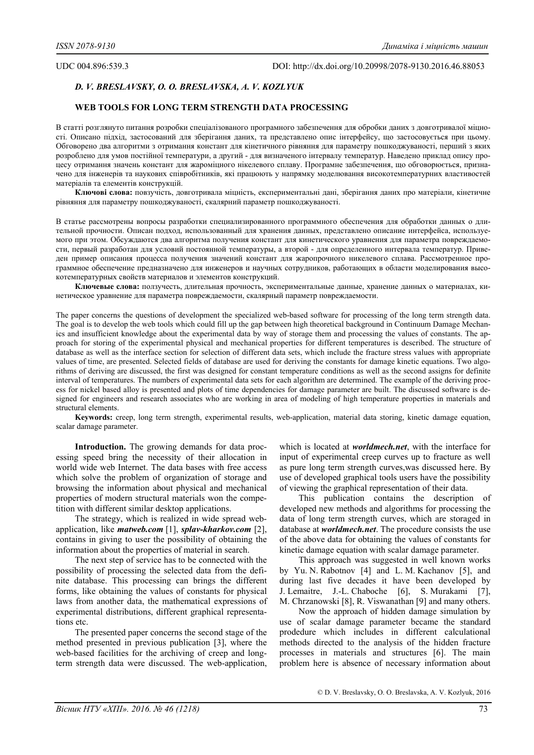## UDC 004.896:539.3 DOI: http://dx.doi.org/10.20998/2078-9130.2016.46.88053

# *D. V. BRESLAVSKY, O. O. BRESLAVSKA, A. V. KOZLYUK*

# **WEB TOOLS FOR LONG TERM STRENGTH DATA PROCESSING**

В статті розглянуто питання розробки спеціалізованого програмного забезпечення для обробки даних з довготривалої міцності. Описано підхід, застосований для зберігання даних, та представлено опис інтерфейсу, що застосовується при цьому. Обговорено два алгоритми з отримання констант для кінетичного рівняння для параметру пошкоджуваності, перший з яких розроблено для умов постійної температури, а другий - для визначеного інтервалу температур. Наведено приклад опису процесу отримання значень констант для жароміцного нікелевого сплаву. Програмне забезпечення, що обговорюється, призначено для інженерів та наукових співробітників, які працюють у напрямку моделювання високотемпературних властивостей матеріалів та елементів конструкцій.

**Ключові слова:** повзучість, довготривала міцність, експериментальні дані, зберігання даних про матеріали, кінетичне рівняння для параметру пошкоджуваності, скалярний параметр пошкоджуваності.

В статье рассмотрены вопросы разработки специализированного программного обеспечения для обработки данных о длительной прочности. Описан подход, использованный для хранения данных, представлено описание интерфейса, используемого при этом. Обсуждаются два алгоритма получения констант для кинетического уравнения для параметра повреждаемости, первый разработан для условий постоянной температуры, а второй - для определенного интервала температур. Приведен пример описания процесса получения значений констант для жаропрочного никелевого сплава. Рассмотренное программное обеспечение предназначено для инженеров и научных сотрудников, работающих в области моделирования высокотемпературных свойств материалов и элементов конструкций.

**Ключевые слова:** ползучесть, длительная прочность, экспериментальные данные, хранение данных о материалах, кинетическое уравнение для параметра повреждаемости, скалярный параметр повреждаемости.

The paper concerns the questions of development the specialized web-based software for processing of the long term strength data. The goal is to develop the web tools which could fill up the gap between high theoretical background in Continuum Damage Mechanics and insufficient knowledge about the experimental data by way of storage them and processing the values of constants. The approach for storing of the experimental physical and mechanical properties for different temperatures is described. The structure of database as well as the interface section for selection of different data sets, which include the fracture stress values with appropriate values of time, are presented. Selected fields of database are used for deriving the constants for damage kinetic equations. Two algorithms of deriving are discussed, the first was designed for constant temperature conditions as well as the second assigns for definite interval of temperatures. The numbers of experimental data sets for each algorithm are determined. The example of the deriving process for nickel based alloy is presented and plots of time dependencies for damage parameter are built. The discussed software is designed for engineers and research associates who are working in area of modeling of high temperature properties in materials and structural elements.

**Keywords:** creep, long term strength, experimental results, web-application, material data storing, kinetic damage equation, scalar damage parameter.

**Introduction.** The growing demands for data processing speed bring the necessity of their allocation in world wide web Internet. The data bases with free access which solve the problem of organization of storage and browsing the information about physical and mechanical properties of modern structural materials won the competition with different similar desktop applications.

The strategy, which is realized in wide spread webapplication, like *matweb.com* [1], *splav-kharkov.com* [2], contains in giving to user the possibility of obtaining the information about the properties of material in search.

The next step of service has to be connected with the possibility of processing the selected data from the definite database. This processing can brings the different forms, like obtaining the values of constants for physical laws from another data, the mathematical expressions of experimental distributions, different graphical representations etc.

The presented paper concerns the second stage of the method presented in previous publication [3], where the web-based facilities for the archiving of creep and longterm strength data were discussed. The web-application, which is located at *worldmech.net*, with the interface for input of experimental creep curves up to fracture as well as pure long term strength curves,was discussed here. By use of developed graphical tools users have the possibility of viewing the graphical representation of their data.

This publication contains the description of developed new methods and algorithms for processing the data of long term strength curves, which are storaged in database at *worldmech.net*. The procedure consists the use of the above data for obtaining the values of constants for kinetic damage equation with scalar damage parameter.

This approach was suggested in well known works by Yu. N. Rabotnov [4] and L. M. Kachanov [5], and during last five decades it have been developed by J. Lemaitre, J.-L. Chaboche [6], S. Murakami [7], M. Chrzanowski [8], R. Viswanathan [9] and many others.

Now the approach of hidden damage simulation by use of scalar damage parameter became the standard prodedure which includes in different calculational methods directed to the analysis of the hidden fracture processes in materials and structures [6]. The main problem here is absence of necessary information about

© D. V. Breslavsky, O. O. Breslavska, A. V. Kozlyuk, 2016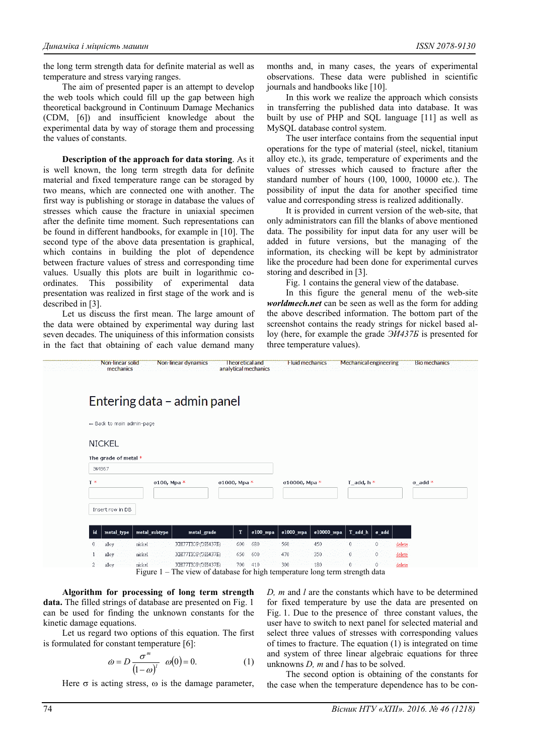the long term strength data for definite material as well as temperature and stress varying ranges.

The aim of presented paper is an attempt to develop the web tools which could fill up the gap between high theoretical background in Continuum Damage Mechanics (CDM, [6]) and insufficient knowledge about the experimental data by way of storage them and processing the values of constants.

**Description of the approach for data storing**. As it is well known, the long term stregth data for definite material and fixed temperature range can be storaged by two means, which are connected one with another. The first way is publishing or storage in database the values of stresses which cause the fracture in uniaxial specimen after the definite time moment. Such representations can be found in different handbooks, for example in [10]. The second type of the above data presentation is graphical, which contains in building the plot of dependence between fracture values of stress and corresponding time values. Usually this plots are built in logarithmic coordinates. This possibility of experimental data presentation was realized in first stage of the work and is described in [3].

Let us discuss the first mean. The large amount of the data were obtained by experimental way during last seven decades. The uniquiness of this information consists in the fact that obtaining of each value demand many

months and, in many cases, the years of experimental observations. These data were published in scientific journals and handbooks like [10].

In this work we realize the approach which consists in transferring the published data into database. It was built by use of PHP and SQL language [11] as well as MySQL database control system.

The user interface contains from the sequential input operations for the type of material (steel, nickel, titanium alloy etc.), its grade, temperature of experiments and the values of stresses which caused to fracture after the standard number of hours (100, 1000, 10000 etc.). The possibility of input the data for another specified time value and corresponding stress is realized additionally.

It is provided in current version of the web-site, that only administrators can fill the blanks of above mentioned data. The possibility for input data for any user will be added in future versions, but the managing of the information, its checking will be kept by administrator like the procedure had been done for experimental curves storing and described in [3].

Fig. 1 contains the general view of the database.

In this figure the general menu of the web-site *worldmech.net* can be seen as well as the form for adding the above described information. The bottom part of the screenshot contains the ready strings for nickel based alloy (here, for example the grade *ЭИ437Б* is presented for three temperature values).



**Algorithm for processing of long term strength data.** The filled strings of database are presented on Fig. 1 can be used for finding the unknown constants for the kinetic damage equations.

Let us regard two options of this equation. The first is formulated for constant temperature [6]:

$$
\omega = D \frac{\sigma^m}{(1 - \omega)^l} \quad \omega(0) = 0. \tag{1}
$$

Here  $\sigma$  is acting stress,  $\omega$  is the damage parameter,

*D, m* and *l* are the constants which have to be determined for fixed temperature by use the data are presented on Fig. 1. Due to the presence of three constant values, the user have to switch to next panel for selected material and select three values of stresses with corresponding values of times to fracture. The equation (1) is integrated on time and system of three linear algebraic equations for three unknowns *D, m* and *l* has to be solved.

The second option is obtaining of the constants for the case when the temperature dependence has to be con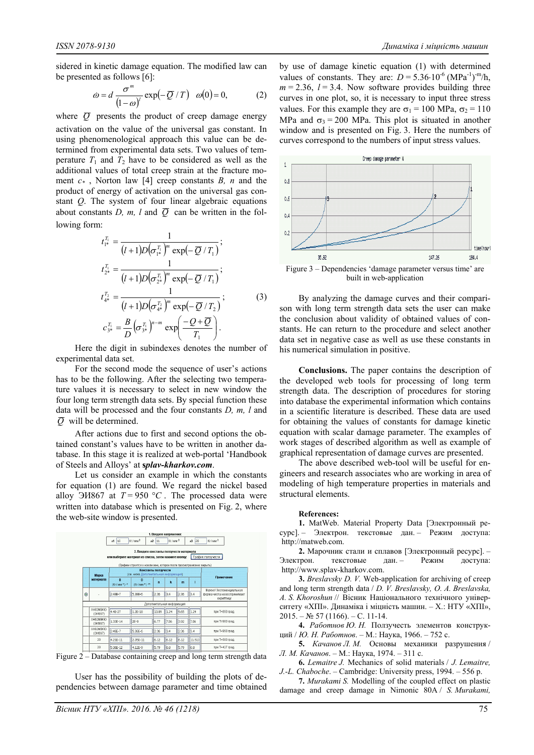sidered in kinetic damage equation. The modified law can be presented as follows [6]:

$$
\omega = d \frac{\sigma^m}{(1-\omega)^l} \exp(-\overline{Q}/T) \quad \omega(0) = 0, \tag{2}
$$

where  $\overline{O}$  presents the product of creep damage energy activation on the value of the universal gas constant. In using phenomenological approach this value can be determined from experimental data sets. Two values of temperature  $T_1$  and  $T_2$  have to be considered as well as the additional values of total creep strain at the fracture moment *c\** , Norton law [4] creep constants *B, n* and the product of energy of activation on the universal gas constant *Q*. The system of four linear algebraic equations about constants *D, m, l* and  $\overline{Q}$  can be written in the following form:

$$
t_{1*}^{T_1} = \frac{1}{(l+1)D(\sigma_{1*}^{T_1})^m \exp(-\overline{Q}/T_1)};
$$
  
\n
$$
t_{2*}^{T_1} = \frac{1}{(l+1)D(\sigma_{2*}^{T_1})^m \exp(-\overline{Q}/T_1)};
$$
  
\n
$$
t_{4*}^{T_2} = \frac{1}{(l+1)D(\sigma_{4*}^{T_2})^m \exp(-\overline{Q}/T_2)};
$$
  
\n
$$
c_{3*}^{T_1} = \frac{B}{D}(\sigma_{3*}^{T_1})^{n-m} \exp(\frac{-Q+\overline{Q}}{T_1}).
$$
\n(3)

Here the digit in subindexes denotes the number of experimental data set.

For the second mode the sequence of user's actions has to be the following. After the selecting two temperature values it is necessary to select in new window the four long term strength data sets. By special function these data will be processed and the four constants *D, m, l* and  $\overline{O}$  will be determined.

After actions due to first and second options the obtained constant's values have to be written in another database. In this stage it is realized at web-portal 'Handbook of Steels and Alloys' at **s***plav-kharkov.com*.

Let us consider an example in which the constants for equation (1) are found. We regard the nickel based alloy  $\overline{\frac{3H867}{}}$  at  $T = 950 °C$ . The processed data were written into database which is presented on Fig. 2, where the web-site window is presented.



Figure 2 – Database containing creep and long term strength data

User has the possibility of building the plots of dependencies between damage parameter and time obtained by use of damage kinetic equation (1) with determined values of constants. They are:  $D = 5.36 \cdot 10^{-6}$  (MPa<sup>-1</sup>)<sup>-m</sup>/h,  $m = 2.36$ ,  $l = 3.4$ . Now software provides building three curves in one plot, so, it is necessary to input three stress values. For this example they are  $\sigma_1 = 100$  MPa,  $\sigma_2 = 110$ MPa and  $\sigma_3 = 200$  MPa. This plot is situated in another window and is presented on Fig. 3. Here the numbers of curves correspond to the numbers of input stress values.



Figure 3 – Dependencies 'damage parameter versus time' are built in web-application

By analyzing the damage curves and their comparison with long term strength data sets the user can make the conclusion about validity of obtained values of constants. He can return to the procedure and select another data set in negative case as well as use these constants in his numerical simulation in positive.

**Conclusions.** The paper contains the description of the developed web tools for processing of long term strength data. The description of procedures for storing into database the experimental information which contains in a scientific literature is described. These data are used for obtaining the values of constants for damage kinetic equation with scalar damage parameter. The examples of work stages of described algorithm as well as example of graphical representation of damage curves are presented.

The above described web-tool will be useful for engineers and research associates who are working in area of modeling of high temperature properties in materials and structural elements.

### **References:**

**1.** MatWeb. Material Property Data [Электронный ресурс]. – Электрон. текстовые дан. – Режим доступа: http://matweb.com.

**2.** Марочник стали и сплавов [Электронный ресурс]. – Электрон. текстовые дан. – Режим доступа: http://www.splav-kharkov.com.

**3.** *Breslavsky D. V.* Web-application for archiving of creep and long term strength data / *D. V. Breslavsky, O. A. Breslavska, A. S. Khoroshun* // Вісник Національного технічного університету «ХПІ». Динаміка і міцність машин. – Х.: НТУ «ХПІ», 2015. – № 57 (1166). – С. 11-14.

**4.** *Работнов Ю. Н.* Ползучесть элементов конструкций / *Ю. Н. Работнов*. – М.: Наука, 1966. – 752 с.

**5.** *Качанов Л. М.* Основы механики разрушения / *Л. М. Качанов*. – М.: Наука, 1974. – 311 с.

**6.** *Lemaitre J.* Mechanics of solid materials / *J. Lemaitre, J.-L. Chaboche*. – Cambridge: University press, 1994. – 556 p.

**7.** *Murakami S.* Modelling of the coupled effect on plastic damage and creep damage in Nimonic 80A / *S. Murakami,*